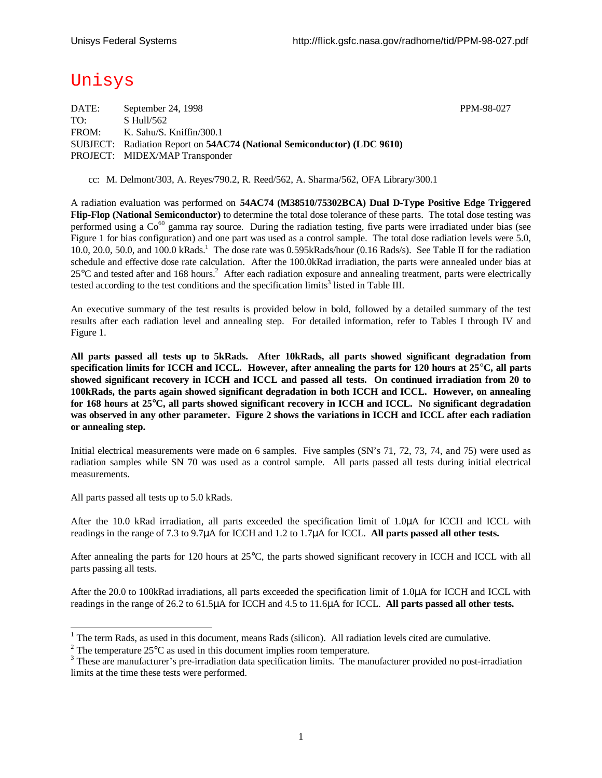PPM-98-027

# Unisys

| September 24, 1998                                                      |
|-------------------------------------------------------------------------|
| S Hull/562                                                              |
| K. Sahu/S. Kniffin/300.1                                                |
| SUBJECT: Radiation Report on 54AC74 (National Semiconductor) (LDC 9610) |
| PROJECT: MIDEX/MAP Transponder                                          |
|                                                                         |

cc: M. Delmont/303, A. Reyes/790.2, R. Reed/562, A. Sharma/562, OFA Library/300.1

A radiation evaluation was performed on **54AC74 (M38510/75302BCA) Dual D-Type Positive Edge Triggered Flip-Flop (National Semiconductor)** to determine the total dose tolerance of these parts. The total dose testing was performed using a  $Co^{60}$  gamma ray source. During the radiation testing, five parts were irradiated under bias (see Figure 1 for bias configuration) and one part was used as a control sample. The total dose radiation levels were 5.0, 10.0, 20.0, 50.0, and 100.0 kRads.<sup>1</sup> The dose rate was 0.595kRads/hour (0.16 Rads/s). See Table II for the radiation schedule and effective dose rate calculation. After the 100.0kRad irradiation, the parts were annealed under bias at  $25^{\circ}$ C and tested after and 168 hours.<sup>2</sup> After each radiation exposure and annealing treatment, parts were electrically tested according to the test conditions and the specification  $\lim$ its<sup>3</sup> listed in Table III.

An executive summary of the test results is provided below in bold, followed by a detailed summary of the test results after each radiation level and annealing step. For detailed information, refer to Tables I through IV and Figure 1.

**All parts passed all tests up to 5kRads. After 10kRads, all parts showed significant degradation from specification limits for ICCH and ICCL. However, after annealing the parts for 120 hours at 25°C, all parts showed significant recovery in ICCH and ICCL and passed all tests. On continued irradiation from 20 to 100kRads, the parts again showed significant degradation in both ICCH and ICCL. However, on annealing for 168 hours at 25°C, all parts showed significant recovery in ICCH and ICCL. No significant degradation was observed in any other parameter. Figure 2 shows the variations in ICCH and ICCL after each radiation or annealing step.**

Initial electrical measurements were made on 6 samples. Five samples (SN's 71, 72, 73, 74, and 75) were used as radiation samples while SN 70 was used as a control sample. All parts passed all tests during initial electrical measurements.

All parts passed all tests up to 5.0 kRads.

1

After the 10.0 kRad irradiation, all parts exceeded the specification limit of 1.0μA for ICCH and ICCL with readings in the range of 7.3 to 9.7μA for ICCH and 1.2 to 1.7μA for ICCL. **All parts passed all other tests.**

After annealing the parts for 120 hours at 25°C, the parts showed significant recovery in ICCH and ICCL with all parts passing all tests.

After the 20.0 to 100kRad irradiations, all parts exceeded the specification limit of 1.0μA for ICCH and ICCL with readings in the range of 26.2 to 61.5μA for ICCH and 4.5 to 11.6μA for ICCL. **All parts passed all other tests.**

 $1$  The term Rads, as used in this document, means Rads (silicon). All radiation levels cited are cumulative.

<sup>&</sup>lt;sup>2</sup> The temperature 25 $^{\circ}$ C as used in this document implies room temperature.

<sup>&</sup>lt;sup>3</sup> These are manufacturer's pre-irradiation data specification limits. The manufacturer provided no post-irradiation limits at the time these tests were performed.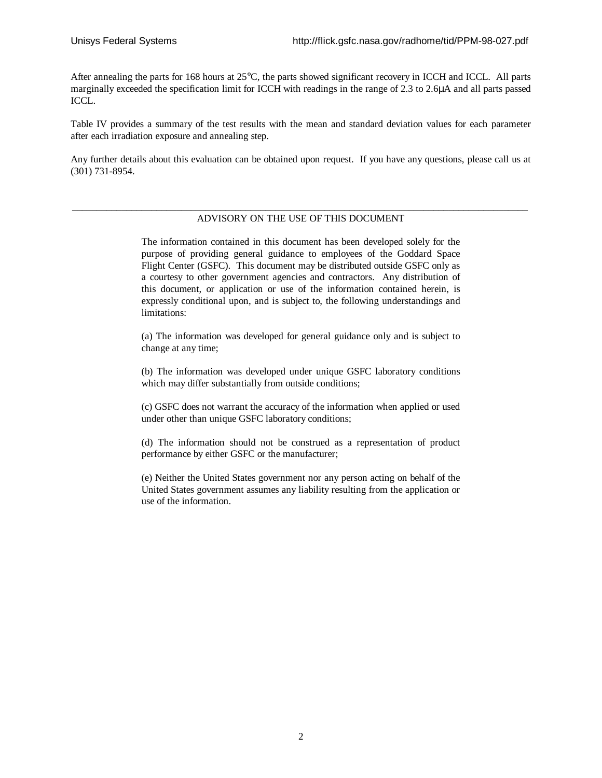After annealing the parts for 168 hours at 25°C, the parts showed significant recovery in ICCH and ICCL. All parts marginally exceeded the specification limit for ICCH with readings in the range of 2.3 to 2.6μA and all parts passed ICCL.

Table IV provides a summary of the test results with the mean and standard deviation values for each parameter after each irradiation exposure and annealing step.

Any further details about this evaluation can be obtained upon request. If you have any questions, please call us at (301) 731-8954.

#### \_\_\_\_\_\_\_\_\_\_\_\_\_\_\_\_\_\_\_\_\_\_\_\_\_\_\_\_\_\_\_\_\_\_\_\_\_\_\_\_\_\_\_\_\_\_\_\_\_\_\_\_\_\_\_\_\_\_\_\_\_\_\_\_\_\_\_\_\_\_\_\_\_\_\_\_\_\_\_\_\_\_\_\_\_\_\_\_\_\_\_\_ ADVISORY ON THE USE OF THIS DOCUMENT

The information contained in this document has been developed solely for the purpose of providing general guidance to employees of the Goddard Space Flight Center (GSFC). This document may be distributed outside GSFC only as a courtesy to other government agencies and contractors. Any distribution of this document, or application or use of the information contained herein, is expressly conditional upon, and is subject to, the following understandings and limitations:

(a) The information was developed for general guidance only and is subject to change at any time;

(b) The information was developed under unique GSFC laboratory conditions which may differ substantially from outside conditions;

(c) GSFC does not warrant the accuracy of the information when applied or used under other than unique GSFC laboratory conditions;

(d) The information should not be construed as a representation of product performance by either GSFC or the manufacturer;

(e) Neither the United States government nor any person acting on behalf of the United States government assumes any liability resulting from the application or use of the information.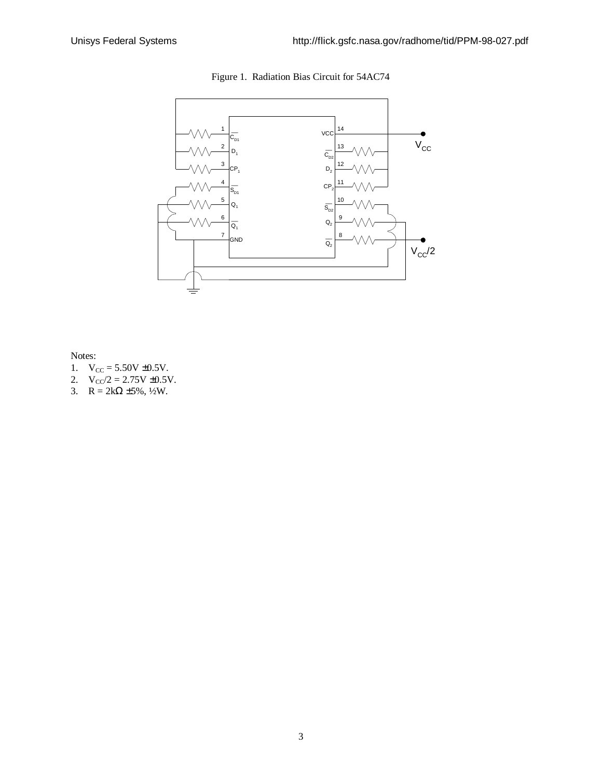

Figure 1. Radiation Bias Circuit for 54AC74

Notes:

- 1.  $V_{CC} = 5.50V \pm 0.5V$ .
- 2.  $V_{CC}/2 = 2.75V \pm 0.5V$ .
- 3.  $R = 2k\Omega \pm 5\%, \frac{1}{2}W$ .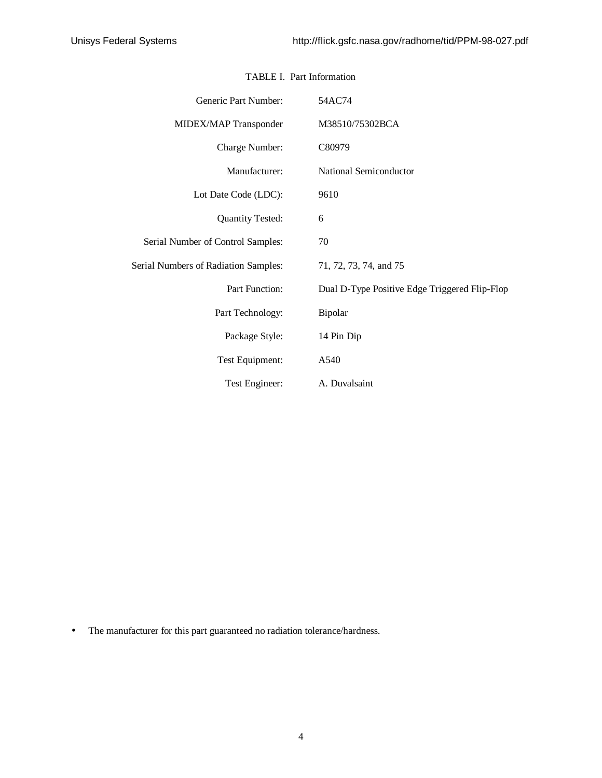| Generic Part Number:                        | 54AC74                                        |
|---------------------------------------------|-----------------------------------------------|
| MIDEX/MAP Transponder                       | M38510/75302BCA                               |
| Charge Number:                              | C80979                                        |
| Manufacturer:                               | National Semiconductor                        |
| Lot Date Code (LDC):                        | 9610                                          |
| <b>Quantity Tested:</b>                     | 6                                             |
| Serial Number of Control Samples:           | 70                                            |
| <b>Serial Numbers of Radiation Samples:</b> | 71, 72, 73, 74, and 75                        |
| Part Function:                              | Dual D-Type Positive Edge Triggered Flip-Flop |
| Part Technology:                            | Bipolar                                       |
| Package Style:                              | 14 Pin Dip                                    |
| Test Equipment:                             | A540                                          |
| Test Engineer:                              | A. Duvalsaint                                 |

### TABLE I. Part Information

• The manufacturer for this part guaranteed no radiation tolerance/hardness.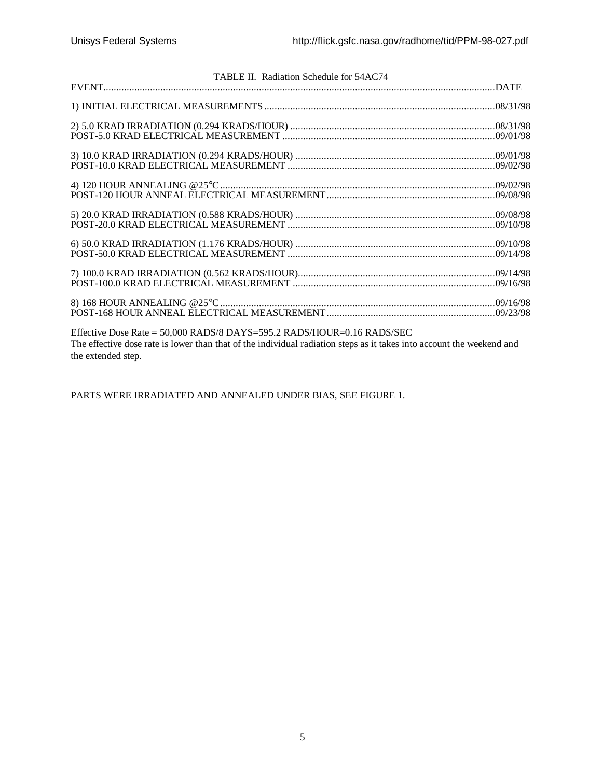| TABLE II. Radiation Schedule for 54AC74                                                                                                                                                         |  |
|-------------------------------------------------------------------------------------------------------------------------------------------------------------------------------------------------|--|
|                                                                                                                                                                                                 |  |
|                                                                                                                                                                                                 |  |
|                                                                                                                                                                                                 |  |
|                                                                                                                                                                                                 |  |
|                                                                                                                                                                                                 |  |
|                                                                                                                                                                                                 |  |
|                                                                                                                                                                                                 |  |
|                                                                                                                                                                                                 |  |
|                                                                                                                                                                                                 |  |
| Effective Dose Rate = 50,000 RADS/8 DAYS=595.2 RADS/HOUR=0.16 RADS/SEC<br>The effective dose rate is lower than that of the individual radiation steps as it takes into account the weekend and |  |

the extended step.

PARTS WERE IRRADIATED AND ANNEALED UNDER BIAS, SEE FIGURE 1.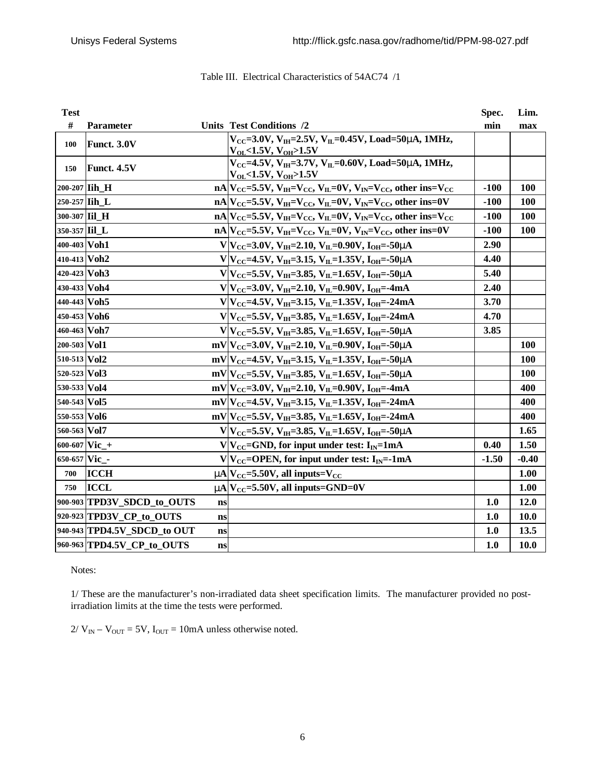| <b>Test</b>   |                             |    |                                                                                                         | Spec.   | Lim.    |
|---------------|-----------------------------|----|---------------------------------------------------------------------------------------------------------|---------|---------|
| #             | Parameter                   |    | Units Test Conditions /2                                                                                | min     | max     |
| 100           | Funct. 3.0V                 |    | $V_{CC}$ =3.0V, $V_{IH}$ =2.5V, $V_{IL}$ =0.45V, Load=50mA, 1MHz,<br>$V_{OL}$ <1.5V, $V_{OH}$ >1.5V     |         |         |
| 150           | Funct. 4.5V                 |    | $V_{CC}$ =4.5V, $V_{IH}$ =3.7V, $V_{IL}$ =0.60V, Load=50mA, 1MHz,<br>$V_{OL}$ < 1.5V, $V_{OH}$ > 1.5V   |         |         |
| 200-207 Iih H |                             |    | $nA V_{CC} = 5.5V, V_{IH} = V_{CC}, V_{IL} = 0V, V_{IN} = V_{CC},$ other ins= $V_{CC}$                  | $-100$  | 100     |
| 250-257 Iih_L |                             |    | $nA V_{CC}=5.5V, V_{IH}=V_{CC}, V_{IL}=0V, V_{IN}=V_{CC},$ other ins=0V                                 | $-100$  | 100     |
| 300-307 Iil H |                             |    | $nA V_{CC}=5.5V, V_{IH}=V_{CC}, V_{IL}=0V, V_{IN}=V_{CC},$ other ins= $V_{CC}$                          | $-100$  | 100     |
| 350-357 Iil L |                             |    | $nA V_{CC}=5.5V, V_{IH}=V_{CC}, V_{IL}=0V, V_{IN}=V_{CC},$ other ins=0V                                 | $-100$  | 100     |
| 400-403 Voh1  |                             |    | $V V_{CC}=3.0V, V_{IH}=2.10, V_{IL}=0.90V, I_{OH}=-50$ mA                                               | 2.90    |         |
| 410-413 Voh2  |                             |    | $V V_{CC}$ =4.5V, V <sub>IH</sub> =3.15, V <sub>IL</sub> =1.35V, I <sub>OH</sub> =-50 <b>m</b>          | 4.40    |         |
| 420-423 Voh3  |                             |    | $V V_{CC}$ =5.5V, V <sub>IH</sub> =3.85, V <sub>IL</sub> =1.65V, I <sub>OH</sub> =-50 <b>m</b>          | 5.40    |         |
| 430-433 Voh4  |                             |    | $V V_{CC}=3.0V, V_{IH}=2.10, V_{IL}=0.90V, I_{OH}=-4mA$                                                 | 2.40    |         |
| 440-443 Voh5  |                             |    | $V V_{CC}$ =4.5V, V <sub>IH</sub> =3.15, V <sub>IL</sub> =1.35V, I <sub>OH</sub> =-24mA                 | 3.70    |         |
| 450-453 Voh6  |                             |    | $V V_{CC}$ =5.5V, V <sub>IH</sub> =3.85, V <sub>IL</sub> =1.65V, I <sub>OH</sub> =-24mA                 | 4.70    |         |
| 460-463 Voh7  |                             |    | $V V_{CC} = 5.5V, V_{IH} = 3.85, V_{IL} = 1.65V, I_{OH} = -50mA$                                        | 3.85    |         |
| 200-503 Vol1  |                             |    | mV V <sub>CC</sub> =3.0V, V <sub>IH</sub> =2.10, V <sub>IL</sub> =0.90V, I <sub>OH</sub> =-50 <b>mA</b> |         | 100     |
| 510-513 Vol2  |                             |    | mV V <sub>CC</sub> =4.5V, V <sub>IH</sub> =3.15, V <sub>IL</sub> =1.35V, I <sub>OH</sub> =-50 <b>m</b>  |         | 100     |
| 520-523 Vol3  |                             |    | mV V <sub>CC</sub> =5.5V, V <sub>IH</sub> =3.85, V <sub>IL</sub> =1.65V, I <sub>OH</sub> =-50mA         |         | 100     |
| 530-533 Vol4  |                             |    | mV V <sub>CC</sub> =3.0V, V <sub>IH</sub> =2.10, V <sub>IL</sub> =0.90V, I <sub>OH</sub> =-4mA          |         | 400     |
| 540-543 Vol5  |                             |    | $mV V_{CC}$ =4.5V, V <sub>IH</sub> =3.15, V <sub>IL</sub> =1.35V, I <sub>OH</sub> =-24mA                |         | 400     |
| 550-553 Vol6  |                             |    | $mV V_{CC} = 5.5V, V_{IH} = 3.85, V_{IL} = 1.65V, I_{OH} = -24mA$                                       |         | 400     |
| 560-563 Vol7  |                             |    | $V V_{CC}$ =5.5V, V <sub>IH</sub> =3.85, V <sub>IL</sub> =1.65V, I <sub>OH</sub> =-50 <b>m</b>          |         | 1.65    |
| 600-607 Vic_+ |                             |    | $V V_{CC}$ =GND, for input under test: I <sub>IN</sub> =1mA                                             | 0.40    | 1.50    |
| 650-657 Vic - |                             |    | $V V_{CC}$ =OPEN, for input under test: I <sub>IN</sub> =-1mA                                           | $-1.50$ | $-0.40$ |
| 700           | <b>ICCH</b>                 |    | $mA$ $V_{\text{CC}}$ =5.50V, all inputs= $V_{\text{CC}}$                                                |         | 1.00    |
| 750           | <b>ICCL</b>                 |    | $mN_{\text{CC}} = 5.50V$ , all inputs=GND=0V                                                            |         | 1.00    |
|               | 900-903 TPD3V_SDCD_to_OUTS  | ns |                                                                                                         | 1.0     | 12.0    |
|               | 920-923 TPD3V_CP_to_OUTS    | ns |                                                                                                         | 1.0     | 10.0    |
|               | 940-943 TPD4.5V_SDCD_to OUT | ns |                                                                                                         | 1.0     | 13.5    |
|               | 960-963 TPD4.5V CP to OUTS  | ns |                                                                                                         | 1.0     | 10.0    |

## Table III. Electrical Characteristics of 54AC74 /1

Notes:

1/ These are the manufacturer's non-irradiated data sheet specification limits. The manufacturer provided no postirradiation limits at the time the tests were performed.

 $2/\text{V}_{\text{IN}} - \text{V}_{\text{OUT}} = 5\text{V}$ ,  $\text{I}_{\text{OUT}} = 10\text{mA}$  unless otherwise noted.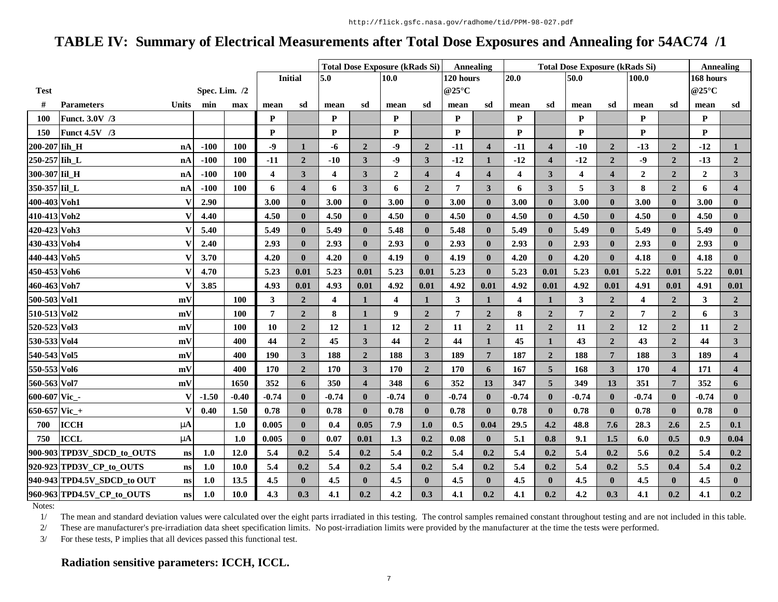# **TABLE IV: Summary of Electrical Measurements after Total Dose Exposures and Annealing for 54AC74 /1**

|               |                                   |                 |         |            |                         |                         |                         |                         | <b>Total Dose Exposure (kRads Si)</b> |                         | <b>Annealing</b>        |                         | <b>Total Dose Exposure (kRads Si)</b> |                         |                |                         |                         |                         | <b>Annealing</b> |                         |
|---------------|-----------------------------------|-----------------|---------|------------|-------------------------|-------------------------|-------------------------|-------------------------|---------------------------------------|-------------------------|-------------------------|-------------------------|---------------------------------------|-------------------------|----------------|-------------------------|-------------------------|-------------------------|------------------|-------------------------|
|               |                                   |                 |         |            |                         | <b>Initial</b>          | 5.0<br>10.0             |                         |                                       | 120 hours               |                         | 20.0                    |                                       | 50.0                    |                | 100.0                   |                         | 168 hours               |                  |                         |
| <b>Test</b>   |                                   | Spec. Lim. $/2$ |         |            |                         |                         |                         |                         |                                       |                         | @25°C                   |                         |                                       |                         |                |                         |                         |                         | @25°C            |                         |
| #             | <b>Parameters</b><br><b>Units</b> |                 | min     | max        | mean                    | sd                      | mean                    | sd                      | mean                                  | sd                      | mean                    | sd                      | mean                                  | sd                      | mean           | sd                      | mean                    | sd                      | mean             | sd                      |
| <b>100</b>    | Funct. 3.0V /3                    |                 |         |            | P                       |                         | P                       |                         | P                                     |                         | P                       |                         | P                                     |                         | P              |                         | P                       |                         | P                |                         |
| 150           | Funct 4.5V /3                     |                 |         |            | P                       |                         | P                       |                         | P                                     |                         | P                       |                         | P                                     |                         | P              |                         | P                       |                         | P                |                         |
| 200-207 Iih_H |                                   | nA              | $-100$  | 100        | $-9$                    | $\mathbf{1}$            | -6                      | $\overline{2}$          | $-9$                                  | $\overline{2}$          | $-11$                   | $\overline{\mathbf{4}}$ | $-11$                                 | $\overline{\mathbf{4}}$ | $-10$          | $\overline{2}$          | $-13$                   | $\overline{2}$          | $-12$            | $\mathbf{1}$            |
| 250-257 Iih L |                                   | nA              | $-100$  | 100        | $-11$                   | $\overline{2}$          | $-10$                   | 3                       | $-9$                                  | $\mathbf{3}$            | $-12$                   | 1                       | $-12$                                 | $\overline{\mathbf{4}}$ | $-12$          | $\overline{2}$          | $-9$                    | $\overline{2}$          | $-13$            | 2 <sub>1</sub>          |
| 300-307 Iil H |                                   | nA              | $-100$  | 100        | $\overline{\mathbf{4}}$ | $\mathbf{3}$            | $\boldsymbol{4}$        | 3                       | $\mathbf{2}$                          | $\overline{\mathbf{4}}$ | $\overline{\mathbf{4}}$ | $\overline{\mathbf{4}}$ | $\overline{\mathbf{4}}$               | $\mathbf{3}$            | 4              | $\overline{\mathbf{4}}$ | $\boldsymbol{2}$        | $\overline{2}$          | $\mathbf{2}$     | 3 <sup>1</sup>          |
| 350-357 Iil_L |                                   | nA              | $-100$  | 100        | 6                       | $\overline{\mathbf{4}}$ | 6                       | 3                       | 6                                     | $\overline{2}$          | $\overline{7}$          | 3                       | 6                                     | $\mathbf{3}$            | 5              | 3                       | 8                       | $\overline{2}$          | 6                | $\overline{\mathbf{4}}$ |
| 400-403 Voh1  |                                   | V               | 2.90    |            | 3.00                    | $\mathbf{0}$            | 3.00                    | $\mathbf{0}$            | 3.00                                  | $\mathbf{0}$            | 3.00                    | $\mathbf{0}$            | 3.00                                  | $\mathbf{0}$            | 3.00           | $\mathbf{0}$            | 3.00                    | $\mathbf{0}$            | 3.00             | $\mathbf{0}$            |
| 410-413 Voh2  |                                   | V               | 4.40    |            | 4.50                    | $\bf{0}$                | 4.50                    | $\bf{0}$                | 4.50                                  | $\mathbf{0}$            | 4.50                    | $\bf{0}$                | 4.50                                  | $\mathbf{0}$            | 4.50           | $\bf{0}$                | 4.50                    | $\bf{0}$                | 4.50             | $\bf{0}$                |
| 420-423 Voh3  |                                   | V               | 5.40    |            | 5.49                    | $\bf{0}$                | 5.49                    | $\mathbf{0}$            | 5.48                                  | $\mathbf{0}$            | 5.48                    | $\mathbf{0}$            | 5.49                                  | $\mathbf{0}$            | 5.49           | $\bf{0}$                | 5.49                    | $\mathbf{0}$            | 5.49             | $\mathbf{0}$            |
| 430-433 Voh4  |                                   | V               | 2.40    |            | 2.93                    | $\bf{0}$                | 2.93                    | $\bf{0}$                | 2.93                                  | $\bf{0}$                | 2.93                    | $\mathbf{0}$            | 2.93                                  | $\mathbf{0}$            | 2.93           | $\bf{0}$                | 2.93                    | $\bf{0}$                | 2.93             | $\bf{0}$                |
| 440-443 Voh5  |                                   | V               | 3.70    |            | 4.20                    | $\bf{0}$                | 4.20                    | $\mathbf{0}$            | 4.19                                  | $\mathbf{0}$            | 4.19                    | $\mathbf{0}$            | 4.20                                  | $\mathbf{0}$            | 4.20           | $\mathbf{0}$            | 4.18                    | $\bf{0}$                | 4.18             | $\mathbf{0}$            |
| 450-453 Voh6  |                                   | V               | 4.70    |            | 5.23                    | 0.01                    | 5.23                    | 0.01                    | 5.23                                  | 0.01                    | 5.23                    | $\bf{0}$                | 5.23                                  | 0.01                    | 5.23           | 0.01                    | 5.22                    | 0.01                    | 5.22             | 0.01                    |
| 460-463 Voh7  |                                   | V               | 3.85    |            | 4.93                    | 0.01                    | 4.93                    | 0.01                    | 4.92                                  | 0.01                    | 4.92                    | 0.01                    | 4.92                                  | 0.01                    | 4.92           | 0.01                    | 4.91                    | 0.01                    | 4.91             | 0.01                    |
| 500-503 Vol1  |                                   | mV              |         | 100        | 3                       | $\overline{2}$          | $\overline{\mathbf{4}}$ | 1                       | $\overline{\mathbf{4}}$               | $\mathbf{1}$            | 3                       | 1                       | $\overline{\mathbf{4}}$               | $\mathbf{1}$            | $\mathbf{3}$   | $\overline{2}$          | $\overline{\mathbf{4}}$ | $\overline{2}$          | 3                | 2 <sup>1</sup>          |
| 510-513 Vol2  |                                   | mV              |         | 100        | $\overline{7}$          | $\overline{2}$          | 8                       | $\mathbf{1}$            | 9                                     | $\overline{2}$          | $\overline{7}$          | $\overline{2}$          | 8                                     | $\overline{2}$          | $\overline{7}$ | $\overline{2}$          | $\overline{7}$          | $\overline{2}$          | 6                | 3 <sup>1</sup>          |
| 520-523 Vol3  |                                   | mV              |         | <b>100</b> | 10                      | $\overline{2}$          | 12                      | 1                       | 12                                    | $\overline{2}$          | 11                      | $\overline{2}$          | 11                                    | $\overline{2}$          | 11             | $\overline{2}$          | 12                      | $\boldsymbol{2}$        | 11               | 2 <sub>1</sub>          |
| 530-533 Vol4  |                                   | mV              |         | 400        | 44                      | $\overline{2}$          | 45                      | 3                       | 44                                    | $\overline{2}$          | 44                      |                         | 45                                    | 1                       | 43             | $\overline{2}$          | 43                      | $\overline{2}$          | 44               | 3 <sup>1</sup>          |
| 540-543 Vol5  |                                   | mV              |         | 400        | 190                     | $\mathbf{3}$            | 188                     | $\overline{2}$          | 188                                   | $\overline{\mathbf{3}}$ | 189                     | $\overline{7}$          | 187                                   | $\overline{2}$          | 188            | $7\phantom{.0}$         | 188                     | $\mathbf{3}$            | 189              | $\overline{\mathbf{4}}$ |
| 550-553 Vol6  |                                   | mV              |         | 400        | 170                     | $\overline{2}$          | 170                     | 3                       | 170                                   | $\overline{2}$          | 170                     | 6                       | 167                                   | $\overline{5}$          | 168            | $\mathbf{3}$            | 170                     | $\overline{\mathbf{4}}$ | 171              | $\overline{\mathbf{4}}$ |
| 560-563 Vol7  |                                   | mV              |         | 1650       | 352                     | 6                       | 350                     | $\overline{\mathbf{4}}$ | 348                                   | 6                       | 352                     | 13                      | 347                                   | 5 <sup>5</sup>          | 349            | 13                      | 351                     | $\overline{7}$          | 352              | 6                       |
| 600-607 Vic_- |                                   | V               | $-1.50$ | $-0.40$    | $-0.74$                 | $\bf{0}$                | $-0.74$                 | $\mathbf{0}$            | $-0.74$                               | $\mathbf{0}$            | $-0.74$                 | $\bf{0}$                | $-0.74$                               | $\mathbf{0}$            | $-0.74$        | $\mathbf{0}$            | $-0.74$                 | $\bf{0}$                | $-0.74$          | $\mathbf{0}$            |
| 650-657 Vic_+ |                                   | V               | 0.40    | 1.50       | 0.78                    | $\bf{0}$                | 0.78                    | $\mathbf{0}$            | 0.78                                  | $\mathbf{0}$            | 0.78                    | $\bf{0}$                | 0.78                                  | $\bf{0}$                | 0.78           | $\bf{0}$                | 0.78                    | $\bf{0}$                | 0.78             | $\bf{0}$                |
| 700           | <b>ICCH</b>                       | mA              |         | 1.0        | 0.005                   | $\bf{0}$                | 0.4                     | 0.05                    | 7.9                                   | 1.0                     | 0.5                     | 0.04                    | 29.5                                  | 4.2                     | 48.8           | 7.6                     | 28.3                    | 2.6                     | 2.5              | 0.1                     |
| 750           | <b>ICCL</b>                       | mA              |         | 1.0        | 0.005                   | $\bf{0}$                | 0.07                    | 0.01                    | 1.3                                   | 0.2                     | 0.08                    | $\mathbf{0}$            | 5.1                                   | 0.8                     | 9.1            | 1.5                     | 6.0                     | 0.5                     | 0.9              | 0.04                    |
|               | 900-903 TPD3V_SDCD_to_OUTS        | ns              | 1.0     | 12.0       | 5.4                     | 0.2                     | 5.4                     | 0.2                     | 5.4                                   | 0.2                     | 5.4                     | 0.2                     | 5.4                                   | 0.2                     | 5.4            | 0.2                     | 5.6                     | 0.2                     | 5.4              | 0.2                     |
|               | 920-923 TPD3V_CP_to_OUTS          | ns              | 1.0     | 10.0       | 5.4                     | 0.2                     | 5.4                     | 0.2                     | 5.4                                   | 0.2                     | 5.4                     | 0.2                     | 5.4                                   | 0.2                     | 5.4            | 0.2                     | 5.5                     | 0.4                     | 5.4              | 0.2                     |
|               | 940-943 TPD4.5V_SDCD_to OUT       | ns              | 1.0     | 13.5       | 4.5                     | $\bf{0}$                | 4.5                     | $\mathbf{0}$            | 4.5                                   | $\mathbf{0}$            | 4.5                     | $\mathbf{0}$            | 4.5                                   | $\mathbf{0}$            | 4.5            | $\mathbf{0}$            | 4.5                     | $\mathbf{0}$            | 4.5              | $\mathbf{0}$            |
|               | 960-963 TPD4.5V_CP_to_OUTS        | ns              | 1.0     | 10.0       | 4.3                     | 0.3                     | 4.1                     | 0.2                     | 4.2                                   | 0.3                     | 4.1                     | 0.2                     | 4.1                                   | 0.2                     | 4.2            | 0.3                     | 4.1                     | 0.2                     | 4.1              | 0.2                     |

Notes:

1/ The mean and standard deviation values were calculated over the eight parts irradiated in this testing. The control samples remained constant throughout testing and are not included in this table.

2/ These are manufacturer's pre-irradiation data sheet specification limits. No post-irradiation limits were provided by the manufacturer at the time the tests were performed.

3/ For these tests, P implies that all devices passed this functional test.

### **Radiation sensitive parameters: ICCH, ICCL.**